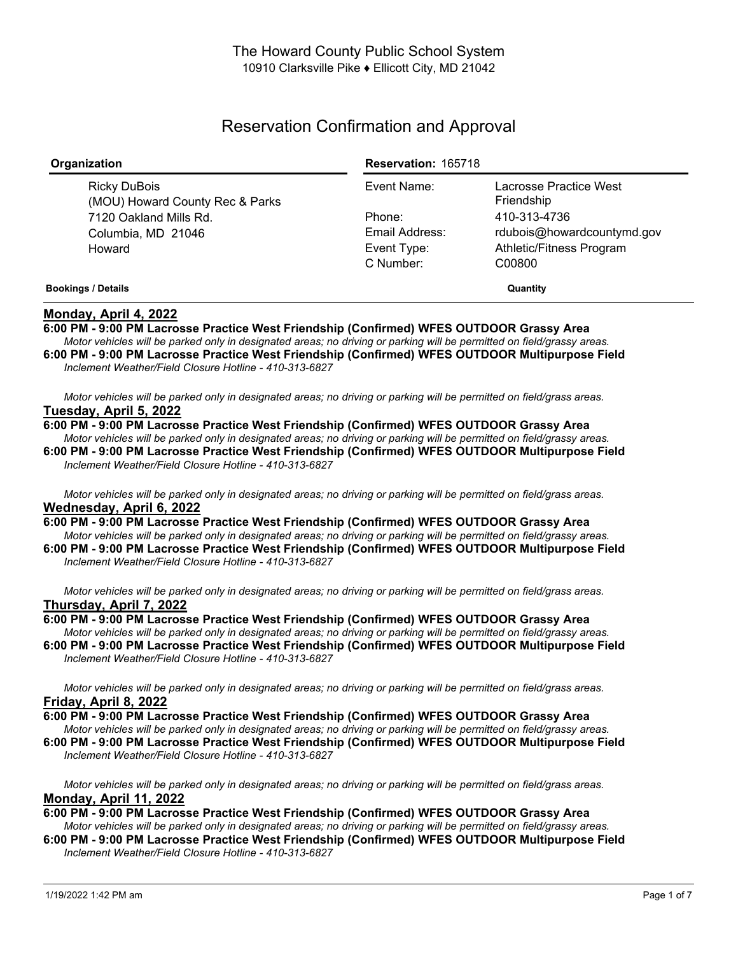# Reservation Confirmation and Approval

| Organization                                    | <b>Reservation: 165718</b> |                                      |
|-------------------------------------------------|----------------------------|--------------------------------------|
| Ricky DuBois<br>(MOU) Howard County Rec & Parks | Event Name:                | Lacrosse Practice West<br>Friendship |
| 7120 Oakland Mills Rd.                          | Phone:                     | 410-313-4736                         |
| Columbia, MD 21046                              | Email Address:             | rdubois@howardcountymd.gov           |
| Howard                                          | Event Type:                | Athletic/Fitness Program             |
|                                                 | C Number:                  | C00800                               |
| <b>Bookings / Details</b>                       | Quantity                   |                                      |

## **Monday, April 4, 2022**

**6:00 PM - 9:00 PM Lacrosse Practice West Friendship (Confirmed) WFES OUTDOOR Grassy Area** Motor vehicles will be parked only in designated areas; no driving or parking will be permitted on field/grassy areas.

**6:00 PM - 9:00 PM Lacrosse Practice West Friendship (Confirmed) WFES OUTDOOR Multipurpose Field** *Inclement Weather/Field Closure Hotline - 410-313-6827*

Motor vehicles will be parked only in designated areas; no driving or parking will be permitted on field/grass areas. **Tuesday, April 5, 2022**

**6:00 PM - 9:00 PM Lacrosse Practice West Friendship (Confirmed) WFES OUTDOOR Grassy Area** Motor vehicles will be parked only in designated areas; no driving or parking will be permitted on field/grassy areas. **6:00 PM - 9:00 PM Lacrosse Practice West Friendship (Confirmed) WFES OUTDOOR Multipurpose Field** *Inclement Weather/Field Closure Hotline - 410-313-6827*

Motor vehicles will be parked only in designated areas; no driving or parking will be permitted on field/grass areas. **Wednesday, April 6, 2022**

**6:00 PM - 9:00 PM Lacrosse Practice West Friendship (Confirmed) WFES OUTDOOR Grassy Area** Motor vehicles will be parked only in designated areas; no driving or parking will be permitted on field/grassy areas. **6:00 PM - 9:00 PM Lacrosse Practice West Friendship (Confirmed) WFES OUTDOOR Multipurpose Field**

*Inclement Weather/Field Closure Hotline - 410-313-6827*

Motor vehicles will be parked only in designated areas; no driving or parking will be permitted on field/grass areas. **Thursday, April 7, 2022**

**6:00 PM - 9:00 PM Lacrosse Practice West Friendship (Confirmed) WFES OUTDOOR Grassy Area** Motor vehicles will be parked only in designated areas; no driving or parking will be permitted on field/grassy areas. **6:00 PM - 9:00 PM Lacrosse Practice West Friendship (Confirmed) WFES OUTDOOR Multipurpose Field** *Inclement Weather/Field Closure Hotline - 410-313-6827*

Motor vehicles will be parked only in designated areas; no driving or parking will be permitted on field/grass areas. **Friday, April 8, 2022**

**6:00 PM - 9:00 PM Lacrosse Practice West Friendship (Confirmed) WFES OUTDOOR Grassy Area** Motor vehicles will be parked only in designated areas; no driving or parking will be permitted on field/grassy areas.

**6:00 PM - 9:00 PM Lacrosse Practice West Friendship (Confirmed) WFES OUTDOOR Multipurpose Field** *Inclement Weather/Field Closure Hotline - 410-313-6827*

Motor vehicles will be parked only in designated areas; no driving or parking will be permitted on field/grass areas. **Monday, April 11, 2022**

## **6:00 PM - 9:00 PM Lacrosse Practice West Friendship (Confirmed) WFES OUTDOOR Grassy Area**

Motor vehicles will be parked only in designated areas; no driving or parking will be permitted on field/grassy areas. **6:00 PM - 9:00 PM Lacrosse Practice West Friendship (Confirmed) WFES OUTDOOR Multipurpose Field** *Inclement Weather/Field Closure Hotline - 410-313-6827*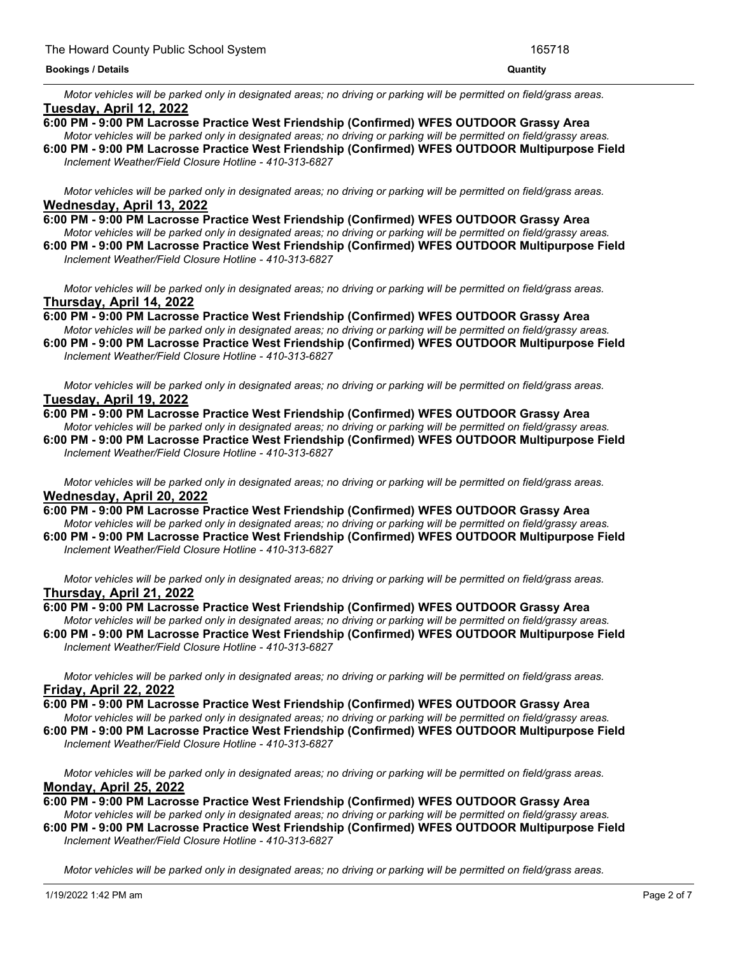#### **Bookings / Details Quantity**

Motor vehicles will be parked only in designated areas; no driving or parking will be permitted on field/grass areas. **Tuesday, April 12, 2022**

- **6:00 PM - 9:00 PM Lacrosse Practice West Friendship (Confirmed) WFES OUTDOOR Grassy Area** Motor vehicles will be parked only in designated areas; no driving or parking will be permitted on field/grassy areas.
- **6:00 PM - 9:00 PM Lacrosse Practice West Friendship (Confirmed) WFES OUTDOOR Multipurpose Field** *Inclement Weather/Field Closure Hotline - 410-313-6827*

Motor vehicles will be parked only in designated areas; no driving or parking will be permitted on field/grass areas. **Wednesday, April 13, 2022**

**6:00 PM - 9:00 PM Lacrosse Practice West Friendship (Confirmed) WFES OUTDOOR Grassy Area** Motor vehicles will be parked only in designated areas; no driving or parking will be permitted on field/grassy areas. **6:00 PM - 9:00 PM Lacrosse Practice West Friendship (Confirmed) WFES OUTDOOR Multipurpose Field** *Inclement Weather/Field Closure Hotline - 410-313-6827*

Motor vehicles will be parked only in designated areas; no driving or parking will be permitted on field/grass areas. **Thursday, April 14, 2022**

**6:00 PM - 9:00 PM Lacrosse Practice West Friendship (Confirmed) WFES OUTDOOR Grassy Area** Motor vehicles will be parked only in designated areas; no driving or parking will be permitted on field/grassy areas.

**6:00 PM - 9:00 PM Lacrosse Practice West Friendship (Confirmed) WFES OUTDOOR Multipurpose Field** *Inclement Weather/Field Closure Hotline - 410-313-6827*

Motor vehicles will be parked only in designated areas; no driving or parking will be permitted on field/grass areas. **Tuesday, April 19, 2022**

#### **6:00 PM - 9:00 PM Lacrosse Practice West Friendship (Confirmed) WFES OUTDOOR Grassy Area**

Motor vehicles will be parked only in designated areas: no driving or parking will be permitted on field/grassy areas. **6:00 PM - 9:00 PM Lacrosse Practice West Friendship (Confirmed) WFES OUTDOOR Multipurpose Field** *Inclement Weather/Field Closure Hotline - 410-313-6827*

Motor vehicles will be parked only in designated areas; no driving or parking will be permitted on field/grass areas. **Wednesday, April 20, 2022**

- **6:00 PM - 9:00 PM Lacrosse Practice West Friendship (Confirmed) WFES OUTDOOR Grassy Area** Motor vehicles will be parked only in designated areas; no driving or parking will be permitted on field/grassy areas.
- **6:00 PM - 9:00 PM Lacrosse Practice West Friendship (Confirmed) WFES OUTDOOR Multipurpose Field** *Inclement Weather/Field Closure Hotline - 410-313-6827*

Motor vehicles will be parked only in designated areas: no driving or parking will be permitted on field/grass areas. **Thursday, April 21, 2022**

**6:00 PM - 9:00 PM Lacrosse Practice West Friendship (Confirmed) WFES OUTDOOR Grassy Area** Motor vehicles will be parked only in designated areas; no driving or parking will be permitted on field/grassy areas.

**6:00 PM - 9:00 PM Lacrosse Practice West Friendship (Confirmed) WFES OUTDOOR Multipurpose Field** *Inclement Weather/Field Closure Hotline - 410-313-6827*

Motor vehicles will be parked only in designated areas; no driving or parking will be permitted on field/grass areas. **Friday, April 22, 2022**

- **6:00 PM - 9:00 PM Lacrosse Practice West Friendship (Confirmed) WFES OUTDOOR Grassy Area** Motor vehicles will be parked only in designated areas; no driving or parking will be permitted on field/grassy areas.
- **6:00 PM - 9:00 PM Lacrosse Practice West Friendship (Confirmed) WFES OUTDOOR Multipurpose Field** *Inclement Weather/Field Closure Hotline - 410-313-6827*

Motor vehicles will be parked only in designated areas; no driving or parking will be permitted on field/grass areas. **Monday, April 25, 2022**

- **6:00 PM - 9:00 PM Lacrosse Practice West Friendship (Confirmed) WFES OUTDOOR Grassy Area** Motor vehicles will be parked only in designated areas; no driving or parking will be permitted on field/grassy areas.
- **6:00 PM - 9:00 PM Lacrosse Practice West Friendship (Confirmed) WFES OUTDOOR Multipurpose Field** *Inclement Weather/Field Closure Hotline - 410-313-6827*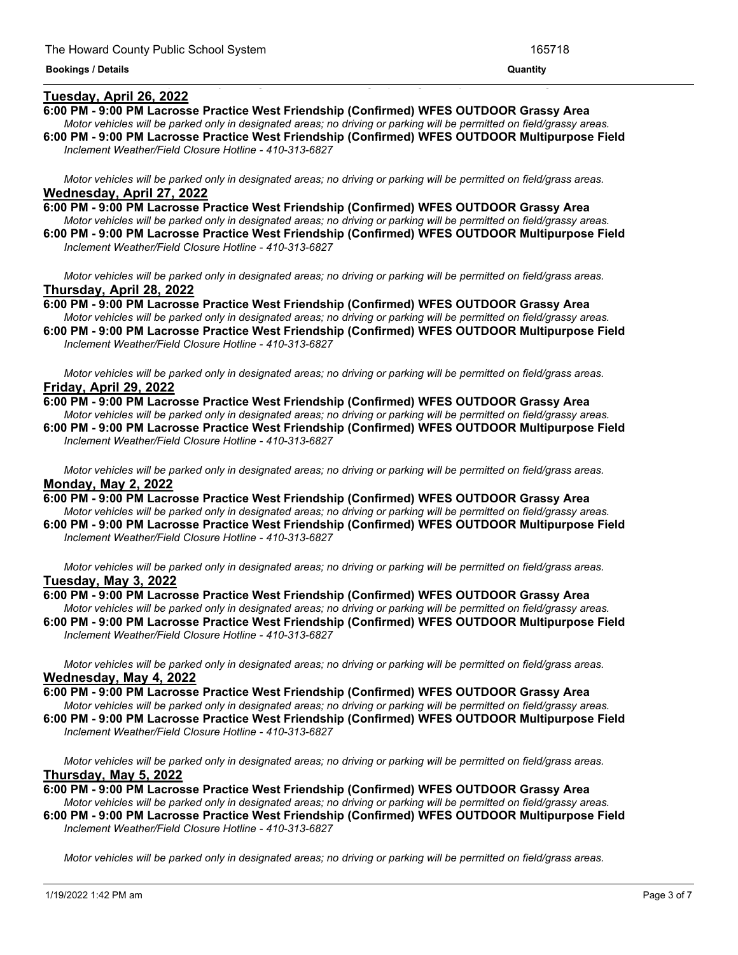#### **Tuesday, April 26, 2022**

- **6:00 PM - 9:00 PM Lacrosse Practice West Friendship (Confirmed) WFES OUTDOOR Grassy Area**
- Motor vehicles will be parked only in designated areas; no driving or parking will be permitted on field/grassy areas. **6:00 PM - 9:00 PM Lacrosse Practice West Friendship (Confirmed) WFES OUTDOOR Multipurpose Field**

<u> 1999 - Jan James James James James James James James James James James James James James James James James J</u>

*Inclement Weather/Field Closure Hotline - 410-313-6827*

Motor vehicles will be parked only in designated areas; no driving or parking will be permitted on field/grass areas. **Wednesday, April 27, 2022**

- **6:00 PM - 9:00 PM Lacrosse Practice West Friendship (Confirmed) WFES OUTDOOR Grassy Area** Motor vehicles will be parked only in designated areas; no driving or parking will be permitted on field/grassy areas.
- **6:00 PM - 9:00 PM Lacrosse Practice West Friendship (Confirmed) WFES OUTDOOR Multipurpose Field** *Inclement Weather/Field Closure Hotline - 410-313-6827*

Motor vehicles will be parked only in designated areas; no driving or parking will be permitted on field/grass areas. **Thursday, April 28, 2022**

**6:00 PM - 9:00 PM Lacrosse Practice West Friendship (Confirmed) WFES OUTDOOR Grassy Area** Motor vehicles will be parked only in designated areas; no driving or parking will be permitted on field/grassy areas.

**6:00 PM - 9:00 PM Lacrosse Practice West Friendship (Confirmed) WFES OUTDOOR Multipurpose Field** *Inclement Weather/Field Closure Hotline - 410-313-6827*

Motor vehicles will be parked only in designated areas; no driving or parking will be permitted on field/grass areas. **Friday, April 29, 2022**

- **6:00 PM - 9:00 PM Lacrosse Practice West Friendship (Confirmed) WFES OUTDOOR Grassy Area** Motor vehicles will be parked only in designated areas; no driving or parking will be permitted on field/grassy areas. **6:00 PM - 9:00 PM Lacrosse Practice West Friendship (Confirmed) WFES OUTDOOR Multipurpose Field**
- *Inclement Weather/Field Closure Hotline - 410-313-6827*

Motor vehicles will be parked only in designated areas; no driving or parking will be permitted on field/grass areas. **Monday, May 2, 2022**

**6:00 PM - 9:00 PM Lacrosse Practice West Friendship (Confirmed) WFES OUTDOOR Grassy Area** Motor vehicles will be parked only in designated areas; no driving or parking will be permitted on field/grassy areas.

**6:00 PM - 9:00 PM Lacrosse Practice West Friendship (Confirmed) WFES OUTDOOR Multipurpose Field** *Inclement Weather/Field Closure Hotline - 410-313-6827*

Motor vehicles will be parked only in designated areas: no driving or parking will be permitted on field/grass areas. **Tuesday, May 3, 2022**

#### **6:00 PM - 9:00 PM Lacrosse Practice West Friendship (Confirmed) WFES OUTDOOR Grassy Area** Motor vehicles will be parked only in designated areas; no driving or parking will be permitted on field/grassy areas.

**6:00 PM - 9:00 PM Lacrosse Practice West Friendship (Confirmed) WFES OUTDOOR Multipurpose Field** *Inclement Weather/Field Closure Hotline - 410-313-6827*

Motor vehicles will be parked only in designated areas; no driving or parking will be permitted on field/grass areas. **Wednesday, May 4, 2022**

**6:00 PM - 9:00 PM Lacrosse Practice West Friendship (Confirmed) WFES OUTDOOR Grassy Area**

Motor vehicles will be parked only in designated areas; no driving or parking will be permitted on field/grassy areas. **6:00 PM - 9:00 PM Lacrosse Practice West Friendship (Confirmed) WFES OUTDOOR Multipurpose Field** *Inclement Weather/Field Closure Hotline - 410-313-6827*

Motor vehicles will be parked only in designated areas; no driving or parking will be permitted on field/grass areas. **Thursday, May 5, 2022**

**6:00 PM - 9:00 PM Lacrosse Practice West Friendship (Confirmed) WFES OUTDOOR Grassy Area**

Motor vehicles will be parked only in designated areas; no driving or parking will be permitted on field/grassy areas. **6:00 PM - 9:00 PM Lacrosse Practice West Friendship (Confirmed) WFES OUTDOOR Multipurpose Field**

*Inclement Weather/Field Closure Hotline - 410-313-6827*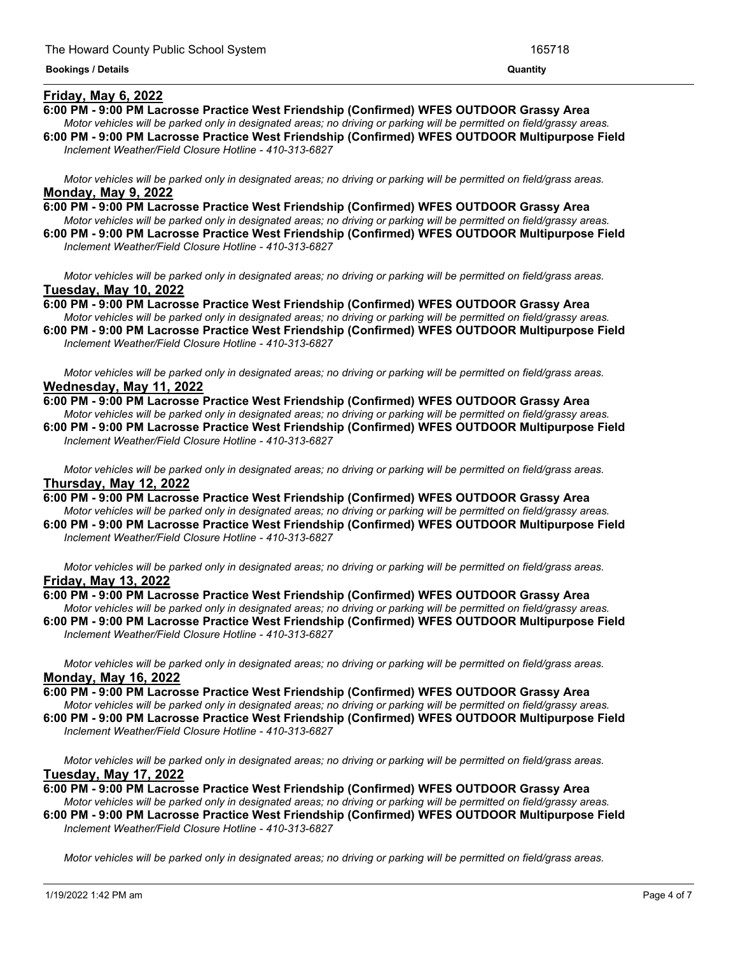#### **Friday, May 6, 2022**

- **6:00 PM - 9:00 PM Lacrosse Practice West Friendship (Confirmed) WFES OUTDOOR Grassy Area**
- Motor vehicles will be parked only in designated areas; no driving or parking will be permitted on field/grassy areas. **6:00 PM - 9:00 PM Lacrosse Practice West Friendship (Confirmed) WFES OUTDOOR Multipurpose Field**

<u> 1989 - Andrea Andrew Maria (h. 1989).</u>

*Inclement Weather/Field Closure Hotline - 410-313-6827*

Motor vehicles will be parked only in designated areas; no driving or parking will be permitted on field/grass areas. **Monday, May 9, 2022**

- **6:00 PM - 9:00 PM Lacrosse Practice West Friendship (Confirmed) WFES OUTDOOR Grassy Area** Motor vehicles will be parked only in designated areas; no driving or parking will be permitted on field/grassy areas.
- **6:00 PM - 9:00 PM Lacrosse Practice West Friendship (Confirmed) WFES OUTDOOR Multipurpose Field** *Inclement Weather/Field Closure Hotline - 410-313-6827*

Motor vehicles will be parked only in designated areas; no driving or parking will be permitted on field/grass areas. **Tuesday, May 10, 2022**

**6:00 PM - 9:00 PM Lacrosse Practice West Friendship (Confirmed) WFES OUTDOOR Grassy Area** Motor vehicles will be parked only in designated areas; no driving or parking will be permitted on field/grassy areas.

**6:00 PM - 9:00 PM Lacrosse Practice West Friendship (Confirmed) WFES OUTDOOR Multipurpose Field** *Inclement Weather/Field Closure Hotline - 410-313-6827*

Motor vehicles will be parked only in designated areas; no driving or parking will be permitted on field/grass areas. **Wednesday, May 11, 2022**

**6:00 PM - 9:00 PM Lacrosse Practice West Friendship (Confirmed) WFES OUTDOOR Grassy Area** Motor vehicles will be parked only in designated areas: no driving or parking will be permitted on field/grassy areas. **6:00 PM - 9:00 PM Lacrosse Practice West Friendship (Confirmed) WFES OUTDOOR Multipurpose Field** *Inclement Weather/Field Closure Hotline - 410-313-6827*

Motor vehicles will be parked only in designated areas; no driving or parking will be permitted on field/grass areas. **Thursday, May 12, 2022**

**6:00 PM - 9:00 PM Lacrosse Practice West Friendship (Confirmed) WFES OUTDOOR Grassy Area** Motor vehicles will be parked only in designated areas; no driving or parking will be permitted on field/grassy areas. **6:00 PM - 9:00 PM Lacrosse Practice West Friendship (Confirmed) WFES OUTDOOR Multipurpose Field**

*Inclement Weather/Field Closure Hotline - 410-313-6827*

Motor vehicles will be parked only in designated areas: no driving or parking will be permitted on field/grass areas. **Friday, May 13, 2022**

## **6:00 PM - 9:00 PM Lacrosse Practice West Friendship (Confirmed) WFES OUTDOOR Grassy Area**

Motor vehicles will be parked only in designated areas; no driving or parking will be permitted on field/grassy areas. **6:00 PM - 9:00 PM Lacrosse Practice West Friendship (Confirmed) WFES OUTDOOR Multipurpose Field** *Inclement Weather/Field Closure Hotline - 410-313-6827*

Motor vehicles will be parked only in designated areas; no driving or parking will be permitted on field/grass areas. **Monday, May 16, 2022**

**6:00 PM - 9:00 PM Lacrosse Practice West Friendship (Confirmed) WFES OUTDOOR Grassy Area**

Motor vehicles will be parked only in designated areas; no driving or parking will be permitted on field/grassy areas. **6:00 PM - 9:00 PM Lacrosse Practice West Friendship (Confirmed) WFES OUTDOOR Multipurpose Field** *Inclement Weather/Field Closure Hotline - 410-313-6827*

Motor vehicles will be parked only in designated areas; no driving or parking will be permitted on field/grass areas. **Tuesday, May 17, 2022**

**6:00 PM - 9:00 PM Lacrosse Practice West Friendship (Confirmed) WFES OUTDOOR Grassy Area**

Motor vehicles will be parked only in designated areas; no driving or parking will be permitted on field/grassy areas. **6:00 PM - 9:00 PM Lacrosse Practice West Friendship (Confirmed) WFES OUTDOOR Multipurpose Field** *Inclement Weather/Field Closure Hotline - 410-313-6827*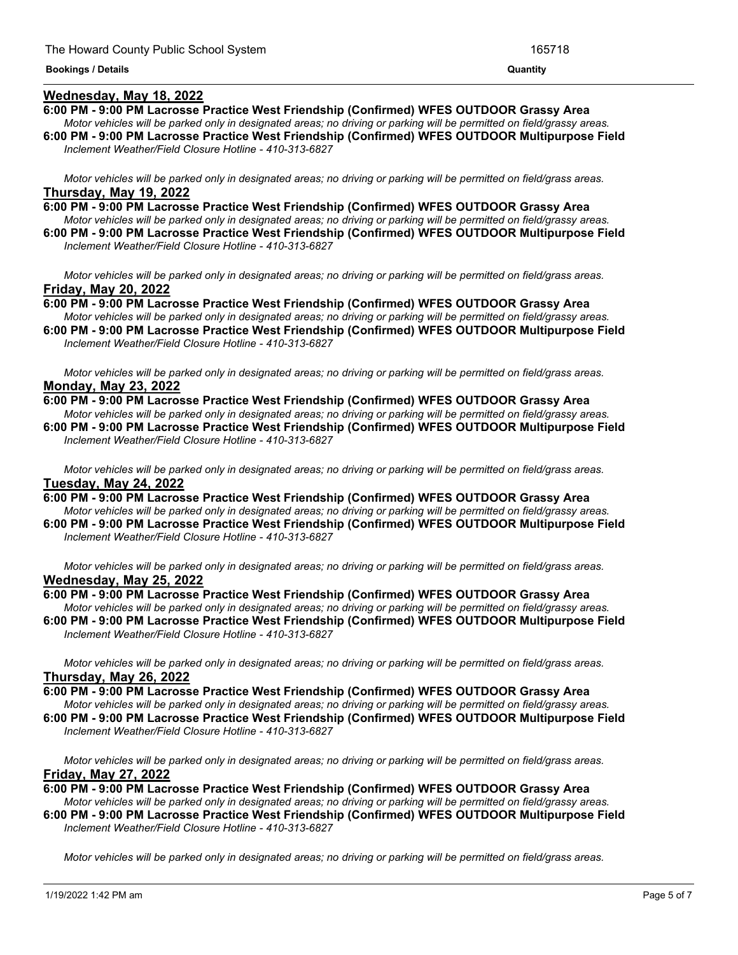#### **Wednesday, May 18, 2022**

## **6:00 PM - 9:00 PM Lacrosse Practice West Friendship (Confirmed) WFES OUTDOOR Grassy Area**

- Motor vehicles will be parked only in designated areas; no driving or parking will be permitted on field/grassy areas. **6:00 PM - 9:00 PM Lacrosse Practice West Friendship (Confirmed) WFES OUTDOOR Multipurpose Field**
- *Inclement Weather/Field Closure Hotline - 410-313-6827*

Motor vehicles will be parked only in designated areas; no driving or parking will be permitted on field/grass areas. **Thursday, May 19, 2022**

**6:00 PM - 9:00 PM Lacrosse Practice West Friendship (Confirmed) WFES OUTDOOR Grassy Area** Motor vehicles will be parked only in designated areas; no driving or parking will be permitted on field/grassy areas.

**6:00 PM - 9:00 PM Lacrosse Practice West Friendship (Confirmed) WFES OUTDOOR Multipurpose Field** *Inclement Weather/Field Closure Hotline - 410-313-6827*

Motor vehicles will be parked only in designated areas; no driving or parking will be permitted on field/grass areas. **Friday, May 20, 2022**

**6:00 PM - 9:00 PM Lacrosse Practice West Friendship (Confirmed) WFES OUTDOOR Grassy Area** Motor vehicles will be parked only in designated areas; no driving or parking will be permitted on field/grassy areas.

**6:00 PM - 9:00 PM Lacrosse Practice West Friendship (Confirmed) WFES OUTDOOR Multipurpose Field** *Inclement Weather/Field Closure Hotline - 410-313-6827*

Motor vehicles will be parked only in designated areas; no driving or parking will be permitted on field/grass areas. **Monday, May 23, 2022**

**6:00 PM - 9:00 PM Lacrosse Practice West Friendship (Confirmed) WFES OUTDOOR Grassy Area** Motor vehicles will be parked only in designated areas: no driving or parking will be permitted on field/grassy areas. **6:00 PM - 9:00 PM Lacrosse Practice West Friendship (Confirmed) WFES OUTDOOR Multipurpose Field**

*Inclement Weather/Field Closure Hotline - 410-313-6827*

Motor vehicles will be parked only in designated areas; no driving or parking will be permitted on field/grass areas. **Tuesday, May 24, 2022**

**6:00 PM - 9:00 PM Lacrosse Practice West Friendship (Confirmed) WFES OUTDOOR Grassy Area** Motor vehicles will be parked only in designated areas; no driving or parking will be permitted on field/grassy areas. **6:00 PM - 9:00 PM Lacrosse Practice West Friendship (Confirmed) WFES OUTDOOR Multipurpose Field**

*Inclement Weather/Field Closure Hotline - 410-313-6827*

Motor vehicles will be parked only in designated areas; no driving or parking will be permitted on field/grass areas. **Wednesday, May 25, 2022**

## **6:00 PM - 9:00 PM Lacrosse Practice West Friendship (Confirmed) WFES OUTDOOR Grassy Area**

Motor vehicles will be parked only in designated areas; no driving or parking will be permitted on field/grassy areas. **6:00 PM - 9:00 PM Lacrosse Practice West Friendship (Confirmed) WFES OUTDOOR Multipurpose Field** *Inclement Weather/Field Closure Hotline - 410-313-6827*

Motor vehicles will be parked only in designated areas; no driving or parking will be permitted on field/grass areas. **Thursday, May 26, 2022**

**6:00 PM - 9:00 PM Lacrosse Practice West Friendship (Confirmed) WFES OUTDOOR Grassy Area**

Motor vehicles will be parked only in designated areas; no driving or parking will be permitted on field/grassy areas. **6:00 PM - 9:00 PM Lacrosse Practice West Friendship (Confirmed) WFES OUTDOOR Multipurpose Field** *Inclement Weather/Field Closure Hotline - 410-313-6827*

Motor vehicles will be parked only in designated areas; no driving or parking will be permitted on field/grass areas. **Friday, May 27, 2022**

**6:00 PM - 9:00 PM Lacrosse Practice West Friendship (Confirmed) WFES OUTDOOR Grassy Area**

Motor vehicles will be parked only in designated areas; no driving or parking will be permitted on field/grassy areas. **6:00 PM - 9:00 PM Lacrosse Practice West Friendship (Confirmed) WFES OUTDOOR Multipurpose Field** *Inclement Weather/Field Closure Hotline - 410-313-6827*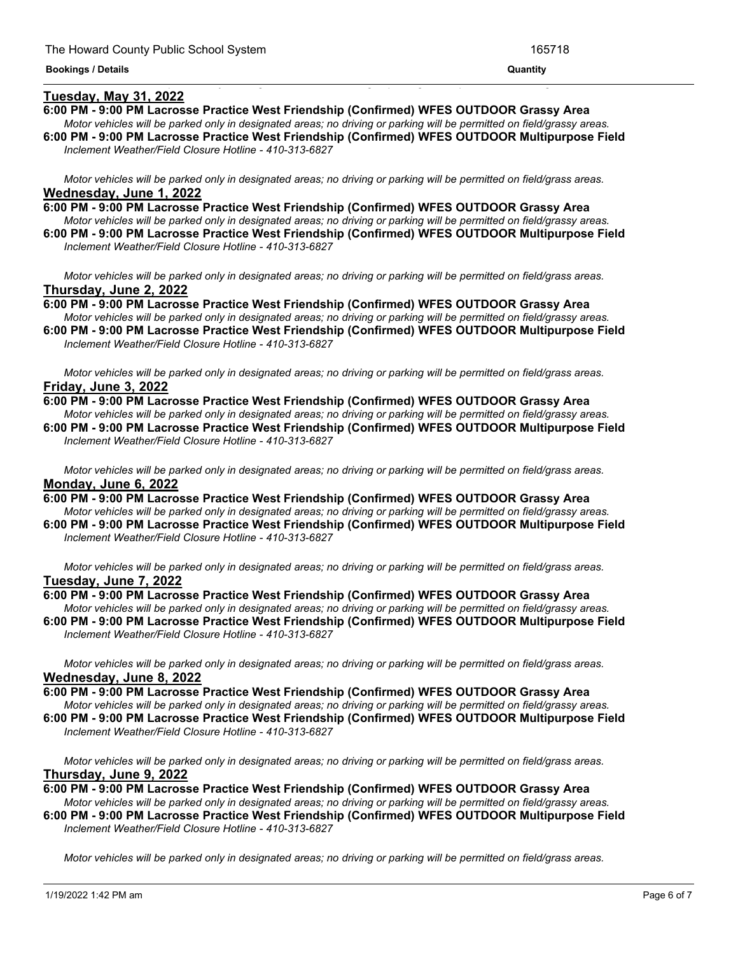#### **Tuesday, May 31, 2022**

- **6:00 PM - 9:00 PM Lacrosse Practice West Friendship (Confirmed) WFES OUTDOOR Grassy Area**
- Motor vehicles will be parked only in designated areas; no driving or parking will be permitted on field/grassy areas. **6:00 PM - 9:00 PM Lacrosse Practice West Friendship (Confirmed) WFES OUTDOOR Multipurpose Field**

<u> 1989 - Andrea Andrea Andrea Andrea Andrea Andrea Andrea Andrea Andrea Andrea Andrea Andrea Andrea Andrea Andr</u>

*Inclement Weather/Field Closure Hotline - 410-313-6827*

Motor vehicles will be parked only in designated areas; no driving or parking will be permitted on field/grass areas. **Wednesday, June 1, 2022**

- **6:00 PM - 9:00 PM Lacrosse Practice West Friendship (Confirmed) WFES OUTDOOR Grassy Area** Motor vehicles will be parked only in designated areas; no driving or parking will be permitted on field/grassy areas.
- **6:00 PM - 9:00 PM Lacrosse Practice West Friendship (Confirmed) WFES OUTDOOR Multipurpose Field** *Inclement Weather/Field Closure Hotline - 410-313-6827*

Motor vehicles will be parked only in designated areas; no driving or parking will be permitted on field/grass areas. **Thursday, June 2, 2022**

**6:00 PM - 9:00 PM Lacrosse Practice West Friendship (Confirmed) WFES OUTDOOR Grassy Area** Motor vehicles will be parked only in designated areas; no driving or parking will be permitted on field/grassy areas.

**6:00 PM - 9:00 PM Lacrosse Practice West Friendship (Confirmed) WFES OUTDOOR Multipurpose Field** *Inclement Weather/Field Closure Hotline - 410-313-6827*

Motor vehicles will be parked only in designated areas; no driving or parking will be permitted on field/grass areas. **Friday, June 3, 2022**

**6:00 PM - 9:00 PM Lacrosse Practice West Friendship (Confirmed) WFES OUTDOOR Grassy Area** Motor vehicles will be parked only in designated areas; no driving or parking will be permitted on field/grassy areas. **6:00 PM - 9:00 PM Lacrosse Practice West Friendship (Confirmed) WFES OUTDOOR Multipurpose Field** *Inclement Weather/Field Closure Hotline - 410-313-6827*

Motor vehicles will be parked only in designated areas; no driving or parking will be permitted on field/grass areas. **Monday, June 6, 2022**

**6:00 PM - 9:00 PM Lacrosse Practice West Friendship (Confirmed) WFES OUTDOOR Grassy Area** Motor vehicles will be parked only in designated areas; no driving or parking will be permitted on field/grassy areas.

**6:00 PM - 9:00 PM Lacrosse Practice West Friendship (Confirmed) WFES OUTDOOR Multipurpose Field** *Inclement Weather/Field Closure Hotline - 410-313-6827*

Motor vehicles will be parked only in designated areas; no driving or parking will be permitted on field/grass areas. **Tuesday, June 7, 2022**

## **6:00 PM - 9:00 PM Lacrosse Practice West Friendship (Confirmed) WFES OUTDOOR Grassy Area** Motor vehicles will be parked only in designated areas; no driving or parking will be permitted on field/grassy areas.

**6:00 PM - 9:00 PM Lacrosse Practice West Friendship (Confirmed) WFES OUTDOOR Multipurpose Field** *Inclement Weather/Field Closure Hotline - 410-313-6827*

Motor vehicles will be parked only in designated areas; no driving or parking will be permitted on field/grass areas. **Wednesday, June 8, 2022**

**6:00 PM - 9:00 PM Lacrosse Practice West Friendship (Confirmed) WFES OUTDOOR Grassy Area**

Motor vehicles will be parked only in designated areas; no driving or parking will be permitted on field/grassy areas. **6:00 PM - 9:00 PM Lacrosse Practice West Friendship (Confirmed) WFES OUTDOOR Multipurpose Field** *Inclement Weather/Field Closure Hotline - 410-313-6827*

Motor vehicles will be parked only in designated areas; no driving or parking will be permitted on field/grass areas. **Thursday, June 9, 2022**

**6:00 PM - 9:00 PM Lacrosse Practice West Friendship (Confirmed) WFES OUTDOOR Grassy Area**

Motor vehicles will be parked only in designated areas; no driving or parking will be permitted on field/grassy areas. **6:00 PM - 9:00 PM Lacrosse Practice West Friendship (Confirmed) WFES OUTDOOR Multipurpose Field** *Inclement Weather/Field Closure Hotline - 410-313-6827*